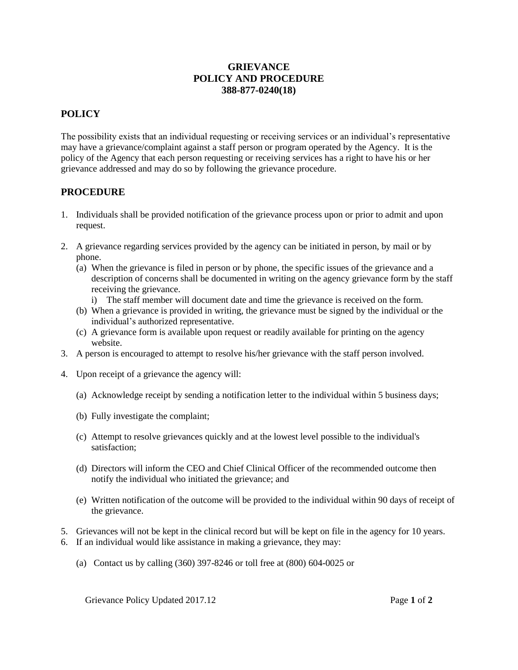## **GRIEVANCE POLICY AND PROCEDURE 388-877-0240(18)**

## **POLICY**

The possibility exists that an individual requesting or receiving services or an individual's representative may have a grievance/complaint against a staff person or program operated by the Agency. It is the policy of the Agency that each person requesting or receiving services has a right to have his or her grievance addressed and may do so by following the grievance procedure.

## **PROCEDURE**

- 1. Individuals shall be provided notification of the grievance process upon or prior to admit and upon request.
- 2. A grievance regarding services provided by the agency can be initiated in person, by mail or by phone.
	- (a) When the grievance is filed in person or by phone, the specific issues of the grievance and a description of concerns shall be documented in writing on the agency grievance form by the staff receiving the grievance.
		- i) The staff member will document date and time the grievance is received on the form.
	- (b) When a grievance is provided in writing, the grievance must be signed by the individual or the individual's authorized representative.
	- (c) A grievance form is available upon request or readily available for printing on the agency website.
- 3. A person is encouraged to attempt to resolve his/her grievance with the staff person involved.
- 4. Upon receipt of a grievance the agency will:
	- (a) Acknowledge receipt by sending a notification letter to the individual within 5 business days;
	- (b) Fully investigate the complaint;
	- (c) Attempt to resolve grievances quickly and at the lowest level possible to the individual's satisfaction;
	- (d) Directors will inform the CEO and Chief Clinical Officer of the recommended outcome then notify the individual who initiated the grievance; and
	- (e) Written notification of the outcome will be provided to the individual within 90 days of receipt of the grievance.
- 5. Grievances will not be kept in the clinical record but will be kept on file in the agency for 10 years.
- 6. If an individual would like assistance in making a grievance, they may:
	- (a) Contact us by calling (360) 397-8246 or toll free at (800) 604-0025 or